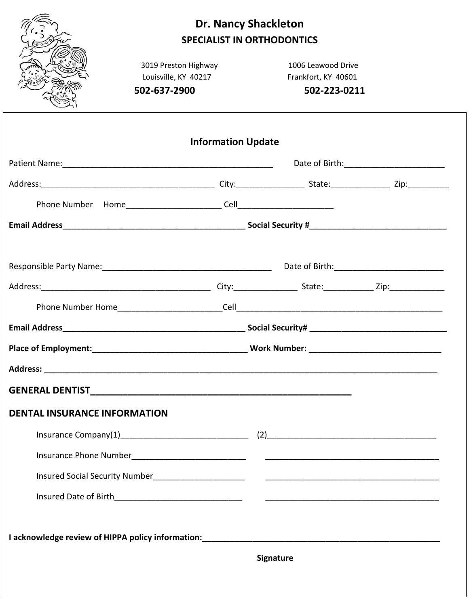